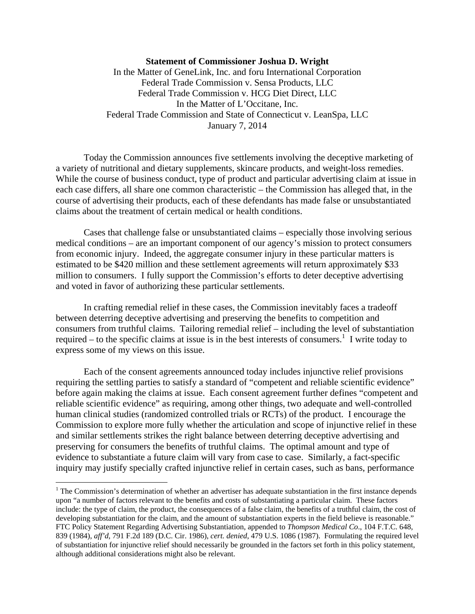## **Statement of Commissioner Joshua D. Wright**

In the Matter of GeneLink, Inc. and foru International Corporation Federal Trade Commission v. Sensa Products, LLC Federal Trade Commission v. HCG Diet Direct, LLC In the Matter of L'Occitane, Inc. Federal Trade Commission and State of Connecticut v. LeanSpa, LLC January 7, 2014

Today the Commission announces five settlements involving the deceptive marketing of a variety of nutritional and dietary supplements, skincare products, and weight-loss remedies. While the course of business conduct, type of product and particular advertising claim at issue in each case differs, all share one common characteristic – the Commission has alleged that, in the course of advertising their products, each of these defendants has made false or unsubstantiated claims about the treatment of certain medical or health conditions.

Cases that challenge false or unsubstantiated claims – especially those involving serious medical conditions – are an important component of our agency's mission to protect consumers from economic injury. Indeed, the aggregate consumer injury in these particular matters is estimated to be \$420 million and these settlement agreements will return approximately \$33 million to consumers. I fully support the Commission's efforts to deter deceptive advertising and voted in favor of authorizing these particular settlements.

In crafting remedial relief in these cases, the Commission inevitably faces a tradeoff between deterring deceptive advertising and preserving the benefits to competition and consumers from truthful claims. Tailoring remedial relief – including the level of substantiation required – to the specific claims at issue is in the best interests of consumers.<sup>1</sup> I write today to express some of my views on this issue.

Each of the consent agreements announced today includes injunctive relief provisions requiring the settling parties to satisfy a standard of "competent and reliable scientific evidence" before again making the claims at issue. Each consent agreement further defines "competent and reliable scientific evidence" as requiring, among other things, two adequate and well-controlled human clinical studies (randomized controlled trials or RCTs) of the product. I encourage the Commission to explore more fully whether the articulation and scope of injunctive relief in these and similar settlements strikes the right balance between deterring deceptive advertising and preserving for consumers the benefits of truthful claims. The optimal amount and type of evidence to substantiate a future claim will vary from case to case. Similarly, a fact-specific inquiry may justify specially crafted injunctive relief in certain cases, such as bans, performance

 $\overline{a}$ 

 $<sup>1</sup>$  The Commission's determination of whether an advertiser has adequate substantiation in the first instance depends</sup> upon "a number of factors relevant to the benefits and costs of substantiating a particular claim. These factors include: the type of claim, the product, the consequences of a false claim, the benefits of a truthful claim, the cost of developing substantiation for the claim, and the amount of substantiation experts in the field believe is reasonable." FTC Policy Statement Regarding Advertising Substantiation, appended to *Thompson Medical Co*., 104 F.T.C. 648, 839 (1984), *aff'd*, 791 F.2d 189 (D.C. Cir. 1986), *cert. denied*, 479 U.S. 1086 (1987). Formulating the required level of substantiation for injunctive relief should necessarily be grounded in the factors set forth in this policy statement, although additional considerations might also be relevant.